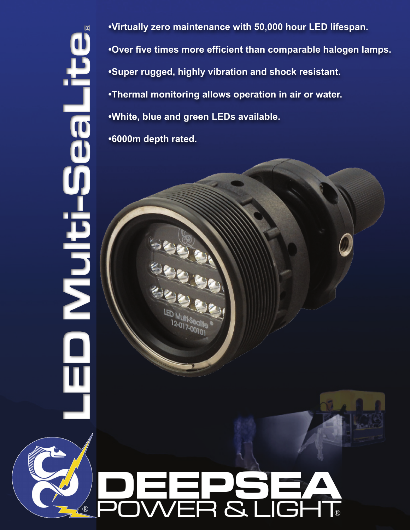**®LED Multi-SeaLite**  $\frac{1}{10}$ <u>Huit</u> **•Virtually zero maintenance with 50,000 hour LED lifespan. •Over five times more efficient than comparable halogen lamps. •Super rugged, highly vibration and shock resistant. •Thermal monitoring allows operation in air or water. •White, blue and green LEDs available. •6000m depth rated.**

# **DEEPSEA** ® POWER & LIGHT®

017-0010<br>17-0010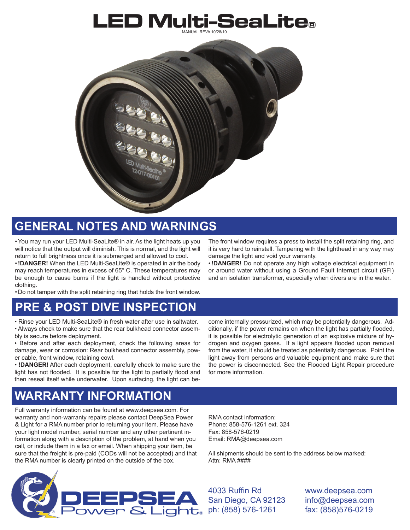## LED Multi-SeaLite**®**



## **General notes and warnings**

•You may run your LED Multi-SeaLite® in air. As the light heats up you will notice that the output will diminish. This is normal, and the light will return to full brightness once it is submerged and allowed to cool.

•**!DANGER!** When the LED Multi-SeaLite® is operated in air the body may reach temperatures in excess of 65° C. These temperatures may be enough to cause burns if the light is handled without protective clothing.

• Do not tamper with the split retaining ring that holds the front window.

## **Pre & Post Dive Inspection**

• Rinse your LED Multi-SeaLite® in fresh water after use in saltwater.

• Always check to make sure that the rear bulkhead connector assembly is secure before deployment.

• Before and after each deployment, check the following areas for damage, wear or corrosion: Rear bulkhead connector assembly, power cable, front window, retaining cowl.

• **!DANGER!** After each deployment, carefully check to make sure the light has not flooded. It is possible for the light to partially flood and then reseal itself while underwater. Upon surfacing, the light can be-

The front window requires a press to install the split retaining ring, and it is very hard to reinstall. Tampering with the lighthead in any way may damage the light and void your warranty.

•**!DANGER!** Do not operate any high voltage electrical equipment in or around water without using a Ground Fault Interrupt circuit (GFI) and an isolation transformer, especially when divers are in the water.

come internally pressurized, which may be potentially dangerous. Additionally, if the power remains on when the light has partially flooded, it is possible for electrolytic generation of an explosive mixture of hydrogen and oxygen gases. If a light appears flooded upon removal from the water, it should be treated as potentially dangerous. Point the light away from persons and valuable equipment and make sure that the power is disconnected. See the Flooded Light Repair procedure for more information.

## **warranty information**

Full warranty information can be found at www.deepsea.com. For warranty and non-warranty repairs please contact DeepSea Power & Light for a RMA number prior to returning your item. Please have your light model number, serial number and any other pertinent information along with a description of the problem, at hand when you call, or include them in a fax or email. When shipping your item, be sure that the freight is pre-paid (CODs will not be accepted) and that the RMA number is clearly printed on the outside of the box.

RMA contact information: Phone: 858-576-1261 ext. 324 Fax: 858-576-0219 Email: RMA@deepsea.com

All shipments should be sent to the address below marked: Attn: RMA ####



4033 Ruffin Rd San Diego, CA 92123 ph: (858) 576-1261

www.deepsea.com info@deepsea.com fax: (858)576-0219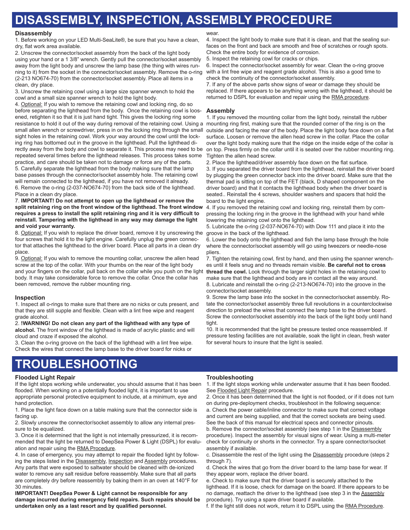## **Disassembly, Inspection, assembly procedure**

#### **Disassembly**

1. Before working on your LED Multi-SeaLite®, be sure that you have a clean, dry, flat work area available.

2. Unscrew the connector/socket assembly from the back of the light body using your hand or a 1 3/8" wrench. Gently pull the connector/socket assembly away from the light body and unscrew the lamp base (the thing with wires running to it) from the socket in the connector/socket assembly. Remove the o-ring (2-213 NO674-70) from the connector/socket assembly. Place all items in a clean, dry place.

3. Unscrew the retaining cowl using a large size spanner wrench to hold the cowl and a small size spanner wrench to hold the light body.

4. Optional: If you wish to remove the retaining cowl and locking ring, do so before separating the lighthead from the body. Once the retaining cowl is loosened, retighten it so that it is just hand tight. This gives the locking ring some resistance to hold it out of the way during removal of the retaining cowl. Using a small allen wrench or screwdriver, press in on the locking ring through the small sight holes in the retaining cowl. Work your way around the cowl until the locking ring has bottomed out in the groove in the lighthead. Pull the lighthead directly away from the body and cowl to separate it. This process may need to be repeated several times before the lighthead releases. This process takes some practice, and care should be taken not to damage or force any of the parts. 5. Carefully separate the lighthead from the body making sure that the lamp base passes through the connector/socket assembly hole. The retaining cowl will remain connected to the lighthead, if you have not removed it already. 6. Remove the o-ring (2-037-NO674-70) from the back side of the lighthead. Place in a clean dry place.

7. **IMPORTANT! Do not attempt to open up the lighthead or remove the split retaining ring on the front window of the lighthead. The front window requires a press to install the split retaining ring and it is very difficult to reinstall. Tampering with the lighthead in any way may damage the light and void your warranty.**

8. Optional: If you wish to replace the driver board, remove it by unscrewing the four screws that hold it to the light engine. Carefully unplug the green connector that attaches the lighthead to the driver board. Place all parts in a clean dry place.

9. Optional: If you wish to remove the mounting collar, unscrew the allen head screw at the top of the collar. With your thumbs on the rear of the light body and your fingers on the collar, pull back on the collar while you push on the light body. It may take considerable force to remove the collar. Once the collar has been removed, remove the rubber mounting ring.

#### **Inspection**

1. Inspect all o-rings to make sure that there are no nicks or cuts present, and that they are still supple and flexible. Clean with a lint free wipe and reagent grade alcohol.

2. **!WARNING! Do not clean any part of the lighthead with any type of alcohol.** The front window of the lighthead is made of acrylic plastic and will cloud and craze if exposed the alcohol.

3. Clean the o-ring groove on the back of the lighthead with a lint free wipe. Check the wires that connect the lamp base to the driver board for nicks or

## **troubleshooting**

#### **Flooded Light Repair**

If the light stops working while underwater, you should assume that it has been flooded. When working on a potentially flooded light, it is important to use appropriate personal protective equipment to include, at a minimum, eye and hand protection.

1. Place the light face down on a table making sure that the connector side is facing up.

2. Slowly unscrew the connector/socket assembly to allow any internal pressure to be equalized.

3. Once it is determined that the light is not internally pressurized, it is recommended that the light be returned to DeepSea Power & Light (DSPL) for evaluation and repair using the RMA Procedure.

4. In case of emergency, you may attempt to repair the flooded light by following the steps listed in the Disassembly, Inspection and Assembly procedures. Any parts that were exposed to saltwater should be cleaned with de-ionized water to remove any salt residue before reassembly. Make sure that all parts are completely dry before reassembly by baking them in an oven at 140°F for 30 minutes.

**IMPORTANT! DeepSea Power & Light cannot be responsible for any damage incurred during emergency field repairs. Such repairs should be undertaken only as a last resort and by qualified personnel.**

#### wear

4. Inspect the light body to make sure that it is clean, and that the sealing surfaces on the front and back are smooth and free of scratches or rough spots. Check the entire body for evidence of corrosion.

5. Inspect the retaining cowl for cracks or chips.

6. Inspect the connector/socket assembly for wear. Clean the o-ring groove with a lint free wipe and reagent grade alcohol. This is also a good time to check the continuity of the connector/socket assembly.

7. If any of the above parts show signs of wear or damage they should be replaced. If there appears to be anything wrong with the lighthead, it should be returned to DSPL for evaluation and repair using the RMA procedure.

#### **Assembly**

1. If you removed the mounting collar from the light body, reinstall the rubber mounting ring first, making sure that the rounded corner of the ring is on the outside and facing the rear of the body. Place the light body face down on a flat surface. Loosen or remove the allen head screw in the collar. Place the collar over the light body making sure that the ridge on the inside edge of the collar is on top. Press firmly on the collar until it is seated over the rubber mounting ring. Tighten the allen head screw.

2. Place the lighthead/driver assembly face down on the flat surface.

3. If you separated the driver board from the lighthead, reinstall the driver board by plugging the green connector back into the driver board. Make sure that the thermal pad is sitting on top of the FET (black, D shaped component on the driver board) and that it contacts the lighthead body when the driver board is seated.. Reinstall the 4 screws, shoulder washers and spacers that hold the board to the light engine.

4. If you removed the retaining cowl and locking ring, reinstall them by compressing the locking ring in the groove in the lighthead with your hand while lowering the retaining cowl onto the lighthead.

5. Lubricate the o-ring (2-037-NO674-70) with Dow 111 and place it into the groove in the back of the lighthead.

6. Lower the body onto the lighthead and fish the lamp base through the hole where the connector/socket assembly will go using tweezers or needle-nose pliers.

7. Tighten the retaining cowl, first by hand, and then using the spanner wrenches until it feels snug and no threads remain visible. **Be careful not to cross thread the cowl.** Look through the larger sight holes in the retaining cowl to make sure that the lighthead and body are in contact all the way around. 8. Lubricate and reinstall the o-ring (2-213-NO674-70) into the groove in the connector/socket assembly.

9. Screw the lamp base into the socket in the connector/socket assembly. Rotate the connector/socket assembly three full revolutions in a counterclockwise direction to preload the wires that connect the lamp base to the driver board. Screw the connector/socket assembly into the back of the light body until hand tight.

10. It is recommended that the light be pressure tested once reassembled. If pressure testing facilities are not available, soak the light in clean, fresh water for several hours to insure that the light is sealed.

#### **Troubleshooting**

1. If the light stops working while underwater assume that it has been flooded. See Flooded Light Repair procedure.

2. Once it has been determined that the light is not flooded, or if it does not turn on during pre-deployment checks, troubleshoot in the following sequence: a. Check the power cable/inline connector to make sure that correct voltage

and current are being supplied, and that the correct sockets are being used. See the back of this manual for electrical specs and connector pinouts.

b. Remove the connector/socket assembly (see step 1 in the Disassembly procedure). Inspect the assembly for visual signs of wear. Using a multi-meter check for continuity or shorts in the connector. Try a spare connector/socket assembly if available.

c. Disassemble the rest of the light using the Disassembly procedure (steps 2 through 7).

d. Check the wires that go from the driver board to the lamp base for wear. If they appear worn, replace the driver board.

e. Check to make sure that the driver board is securely attached to the lighthead. If it is loose, check for damage on the board. If there appears to be no damage, reattach the driver to the lighthead (see step 3 in the Assembly procedure). Try using a spare driver board if available.

f. If the light still does not work, return it to DSPL using the RMA Procedure.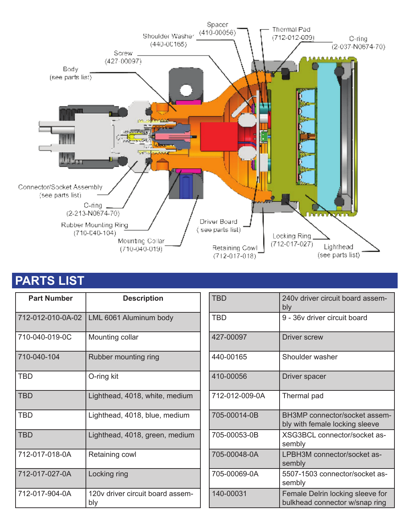

## **Parts list**

| <b>Part Number</b> | <b>Description</b>                      | <b>TBD</b> |
|--------------------|-----------------------------------------|------------|
| 712-012-010-0A-02  | LML 6061 Aluminum body                  | <b>TBD</b> |
| 710-040-019-0C     | Mounting collar                         | $427 - ($  |
| 710-040-104        | Rubber mounting ring                    | $440 - ($  |
| <b>TBD</b>         | O-ring kit                              | $410 - ($  |
| <b>TBD</b>         | Lighthead, 4018, white, medium          | $712 -$    |
| <b>TBD</b>         | Lighthead, 4018, blue, medium           | $705 -$    |
| <b>TBD</b>         | Lighthead, 4018, green, medium          | $705 -$    |
| 712-017-018-0A     | Retaining cowl                          | $705 -$    |
| 712-017-027-0A     | Locking ring                            | $705 -$    |
| 712-017-904-0A     | 120v driver circuit board assem-<br>bly | $140 - ($  |

| TRD            | 240v driver circuit board assem-<br>bly                            |  |
|----------------|--------------------------------------------------------------------|--|
| TBD            | 9 - 36y driver circuit board                                       |  |
| 427-00097      | <b>Driver screw</b>                                                |  |
| 440-00165      | Shoulder washer                                                    |  |
| 410-00056      | Driver spacer                                                      |  |
| 712-012-009-0A | Thermal pad                                                        |  |
| 705-00014-0B   | BH3MP connector/socket assem-<br>bly with female locking sleeve    |  |
| 705-00053-0B   | XSG3BCL connector/socket as-<br>sembly                             |  |
| 705-00048-0A   | LPBH3M connector/socket as-<br>sembly                              |  |
| 705-00069-0A   | 5507-1503 connector/socket as-<br>sembly                           |  |
| 140-00031      | Female Delrin locking sleeve for<br>bulkhead connector w/snap ring |  |